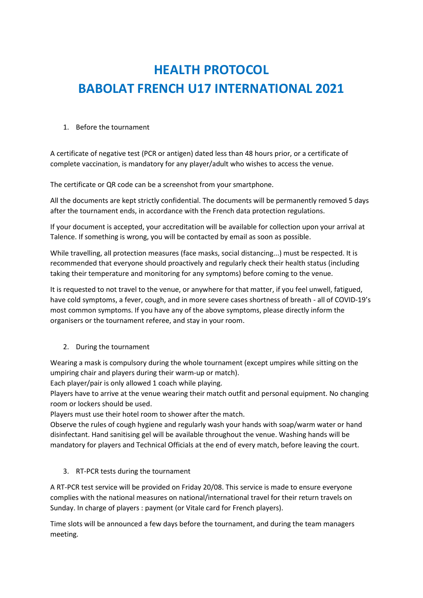# **HEALTH PROTOCOL BABOLAT FRENCH U17 INTERNATIONAL 2021**

## 1. Before the tournament

A certificate of negative test (PCR or antigen) dated less than 48 hours prior, or a certificate of complete vaccination, is mandatory for any player/adult who wishes to access the venue.

The certificate or QR code can be a screenshot from your smartphone.

All the documents are kept strictly confidential. The documents will be permanently removed 5 days after the tournament ends, in accordance with the French data protection regulations.

If your document is accepted, your accreditation will be available for collection upon your arrival at Talence. If something is wrong, you will be contacted by email as soon as possible.

While travelling, all protection measures (face masks, social distancing...) must be respected. It is recommended that everyone should proactively and regularly check their health status (including taking their temperature and monitoring for any symptoms) before coming to the venue.

It is requested to not travel to the venue, or anywhere for that matter, if you feel unwell, fatigued, have cold symptoms, a fever, cough, and in more severe cases shortness of breath - all of COVID-19's most common symptoms. If you have any of the above symptoms, please directly inform the organisers or the tournament referee, and stay in your room.

## 2. During the tournament

Wearing a mask is compulsory during the whole tournament (except umpires while sitting on the umpiring chair and players during their warm-up or match).

Each player/pair is only allowed 1 coach while playing.

Players have to arrive at the venue wearing their match outfit and personal equipment. No changing room or lockers should be used.

Players must use their hotel room to shower after the match.

Observe the rules of cough hygiene and regularly wash your hands with soap/warm water or hand disinfectant. Hand sanitising gel will be available throughout the venue. Washing hands will be mandatory for players and Technical Officials at the end of every match, before leaving the court.

## 3. RT-PCR tests during the tournament

A RT-PCR test service will be provided on Friday 20/08. This service is made to ensure everyone complies with the national measures on national/international travel for their return travels on Sunday. In charge of players : payment (or Vitale card for French players).

Time slots will be announced a few days before the tournament, and during the team managers meeting.